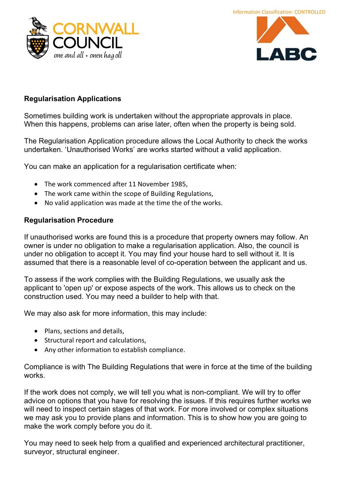



## Regularisation Applications

Sometimes building work is undertaken without the appropriate approvals in place. When this happens, problems can arise later, often when the property is being sold.

The Regularisation Application procedure allows the Local Authority to check the works undertaken. 'Unauthorised Works' are works started without a valid application.

You can make an application for a regularisation certificate when:

- The work commenced after 11 November 1985,
- The work came within the scope of Building Regulations,
- No valid application was made at the time the of the works.

## Regularisation Procedure

If unauthorised works are found this is a procedure that property owners may follow. An owner is under no obligation to make a regularisation application. Also, the council is under no obligation to accept it. You may find your house hard to sell without it. It is assumed that there is a reasonable level of co-operation between the applicant and us.

To assess if the work complies with the Building Regulations, we usually ask the applicant to 'open up' or expose aspects of the work. This allows us to check on the construction used. You may need a builder to help with that.

We may also ask for more information, this may include:

- Plans, sections and details,
- Structural report and calculations,
- Any other information to establish compliance.

Compliance is with The Building Regulations that were in force at the time of the building works.

If the work does not comply, we will tell you what is non-compliant. We will try to offer advice on options that you have for resolving the issues. If this requires further works we will need to inspect certain stages of that work. For more involved or complex situations we may ask you to provide plans and information. This is to show how you are going to make the work comply before you do it.

You may need to seek help from a qualified and experienced architectural practitioner, surveyor, structural engineer.